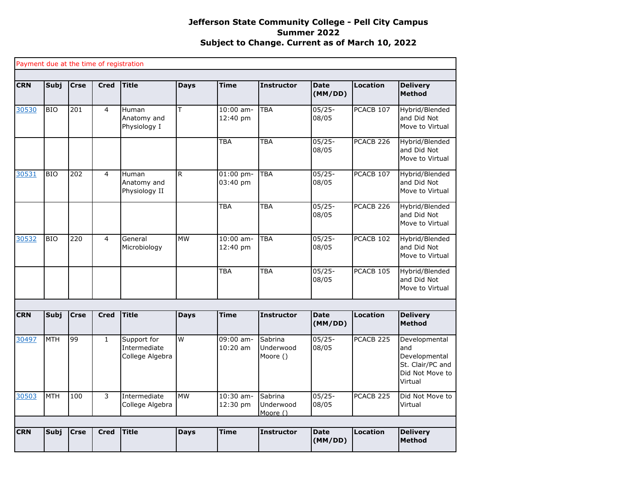## **Jefferson State Community College - Pell City Campus Summer 2022 Subject to Change. Current as of March 10, 2022**

|            |             |             | Payment due at the time of registration |                                                |             |                           |                                  |                        |                      |                                                                                         |
|------------|-------------|-------------|-----------------------------------------|------------------------------------------------|-------------|---------------------------|----------------------------------|------------------------|----------------------|-----------------------------------------------------------------------------------------|
| <b>CRN</b> | <b>Subj</b> | <b>Crse</b> | <b>Cred</b>                             | <b>Title</b>                                   | <b>Days</b> | <b>Time</b>               | <b>Instructor</b>                | <b>Date</b><br>(MM/DD) | <b>Location</b>      | <b>Delivery</b><br><b>Method</b>                                                        |
| 30530      | <b>BIO</b>  | 201         | 4                                       | Human<br>Anatomy and<br>Physiology I           | T           | $10:00$ am-<br>12:40 pm   | <b>TBA</b>                       | $05/25 -$<br>08/05     | PCACB 107            | Hybrid/Blended<br>and Did Not<br>Move to Virtual                                        |
|            |             |             |                                         |                                                |             | <b>TBA</b>                | <b>TBA</b>                       | $05/25 -$<br>08/05     | PCACB <sub>226</sub> | Hybrid/Blended<br>and Did Not<br>Move to Virtual                                        |
| 30531      | <b>BIO</b>  | 202         | 4                                       | Human<br>Anatomy and<br>Physiology II          | R.          | $01:00$ pm-<br>$03:40$ pm | <b>TBA</b>                       | $05/25 -$<br>08/05     | PCACB 107            | Hybrid/Blended<br>and Did Not<br>Move to Virtual                                        |
|            |             |             |                                         |                                                |             | TBA                       | <b>TBA</b>                       | $05/25 -$<br>08/05     | PCACB <sub>226</sub> | Hybrid/Blended<br>and Did Not<br>Move to Virtual                                        |
| 30532      | <b>BIO</b>  | 220         | $\overline{4}$                          | General<br>Microbiology                        | <b>MW</b>   | $10:00$ am-<br>12:40 pm   | <b>TBA</b>                       | $05/25 -$<br>08/05     | PCACB 102            | Hybrid/Blended<br>and Did Not<br>Move to Virtual                                        |
|            |             |             |                                         |                                                |             | <b>TBA</b>                | <b>TBA</b>                       | $05/25 -$<br>08/05     | PCACB 105            | Hybrid/Blended<br>and Did Not<br>Move to Virtual                                        |
|            |             |             |                                         |                                                |             |                           |                                  |                        |                      |                                                                                         |
| <b>CRN</b> | <b>Subj</b> | <b>Crse</b> | <b>Cred</b>                             | <b>Title</b>                                   | <b>Days</b> | <b>Time</b>               | <b>Instructor</b>                | <b>Date</b><br>(MM/DD) | <b>Location</b>      | <b>Delivery</b><br><b>Method</b>                                                        |
| 30497      | <b>MTH</b>  | 99          | $\mathbf{1}$                            | Support for<br>Intermediate<br>College Algebra | W           | 09:00 am-<br>$10:20$ am   | Sabrina<br>Underwood<br>Moore () | $05/25 -$<br>08/05     | PCACB <sub>225</sub> | Developmental<br>and<br>Developmental<br>St. Clair/PC and<br>Did Not Move to<br>Virtual |
| 30503      | <b>MTH</b>  | 100         | 3                                       | Intermediate<br>College Algebra                | <b>MW</b>   | 10:30 am-<br>12:30 pm     | Sabrina<br>Underwood<br>Moore () | $05/25 -$<br>08/05     | PCACB <sub>225</sub> | Did Not Move to<br>Virtual                                                              |
|            |             |             |                                         |                                                |             |                           |                                  |                        |                      |                                                                                         |
| <b>CRN</b> | <b>Subj</b> | <b>Crse</b> | <b>Cred</b>                             | <b>Title</b>                                   | <b>Days</b> | <b>Time</b>               | <b>Instructor</b>                | <b>Date</b><br>(MM/DD) | <b>Location</b>      | <b>Delivery</b><br><b>Method</b>                                                        |